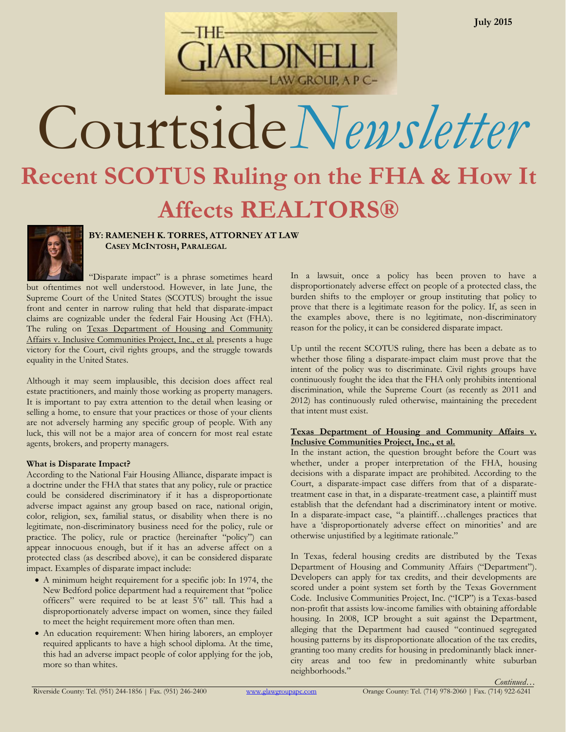

# Courtside*Newsletter* **Recent SCOTUS Ruling on the FHA & How It Affects REALTORS®**



**BY: RAMENEH K. TORRES, ATTORNEY AT LAW CASEY MCINTOSH, PARALEGAL**

"Disparate impact" is a phrase sometimes heard but oftentimes not well understood. However, in late June, the Supreme Court of the United States (SCOTUS) brought the issue front and center in narrow ruling that held that disparate-impact claims are cognizable under the federal Fair Housing Act (FHA). The ruling on Texas Department of Housing and Community Affairs v. Inclusive Communities Project, Inc., et al. presents a huge victory for the Court, civil rights groups, and the struggle towards equality in the United States.

Although it may seem implausible, this decision does affect real estate practitioners, and mainly those working as property managers. It is important to pay extra attention to the detail when leasing or selling a home, to ensure that your practices or those of your clients are not adversely harming any specific group of people. With any luck, this will not be a major area of concern for most real estate agents, brokers, and property managers.

# **What is Disparate Impact?**

According to the National Fair Housing Alliance, disparate impact is a doctrine under the FHA that states that any policy, rule or practice could be considered discriminatory if it has a disproportionate adverse impact against any group based on race, national origin, color, religion, sex, familial status, or disability when there is no legitimate, non-discriminatory business need for the policy, rule or practice. The policy, rule or practice (hereinafter "policy") can appear innocuous enough, but if it has an adverse affect on a protected class (as described above), it can be considered disparate impact. Examples of disparate impact include:

- A minimum height requirement for a specific job: In 1974, the New Bedford police department had a requirement that "police officers" were required to be at least 5'6" tall. This had a disproportionately adverse impact on women, since they failed to meet the height requirement more often than men.
- An education requirement: When hiring laborers, an employer required applicants to have a high school diploma. At the time, this had an adverse impact people of color applying for the job, more so than whites.

In a lawsuit, once a policy has been proven to have a disproportionately adverse effect on people of a protected class, the burden shifts to the employer or group instituting that policy to prove that there is a legitimate reason for the policy. If, as seen in the examples above, there is no legitimate, non-discriminatory reason for the policy, it can be considered disparate impact.

Up until the recent SCOTUS ruling, there has been a debate as to whether those filing a disparate-impact claim must prove that the intent of the policy was to discriminate. Civil rights groups have continuously fought the idea that the FHA only prohibits intentional discrimination, while the Supreme Court (as recently as 2011 and 2012) has continuously ruled otherwise, maintaining the precedent that intent must exist.

# **Texas Department of Housing and Community Affairs v. Inclusive Communities Project, Inc., et al.**

In the instant action, the question brought before the Court was whether, under a proper interpretation of the FHA, housing decisions with a disparate impact are prohibited. According to the Court, a disparate-impact case differs from that of a disparatetreatment case in that, in a disparate-treatment case, a plaintiff must establish that the defendant had a discriminatory intent or motive. In a disparate-impact case, "a plaintiff…challenges practices that have a 'disproportionately adverse effect on minorities' and are otherwise unjustified by a legitimate rationale."

In Texas, federal housing credits are distributed by the Texas Department of Housing and Community Affairs ("Department"). Developers can apply for tax credits, and their developments are scored under a point system set forth by the Texas Government Code. Inclusive Communities Project, Inc. ("ICP") is a Texas-based non-profit that assists low-income families with obtaining affordable housing. In 2008, ICP brought a suit against the Department, alleging that the Department had caused "continued segregated housing patterns by its disproportionate allocation of the tax credits, granting too many credits for housing in predominantly black innercity areas and too few in predominantly white suburban neighborhoods."